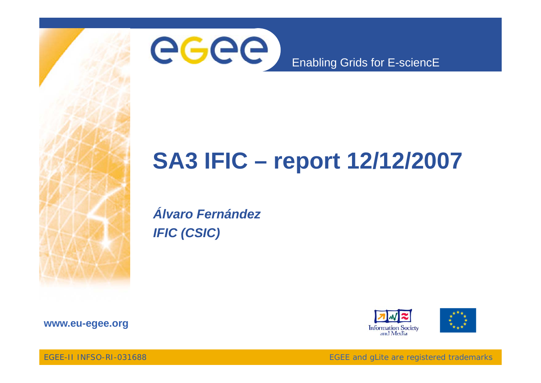

# **SA3 IFIC – report 12/12/2007**

*Álvaro FernándezIFIC (CSIC)*





**www eu egee org www.eu-egee.org**

EGEE-II INFSO-RI-031688

EGEE and gLite are registered trademarks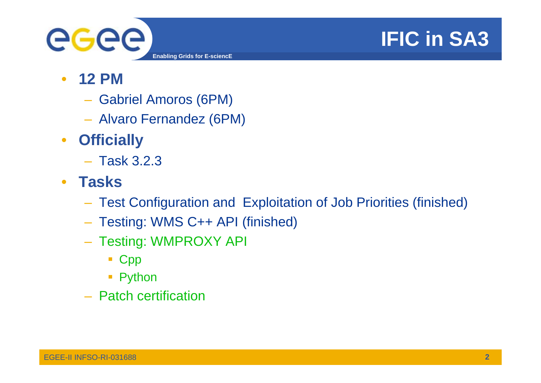

# **IFIC in SA3**

- • **12 PM**
	- Gabriel Amoros (6PM)
	- Alvaro Fernandez (6PM)
- $\bullet$  **Officially**
	- Task 3.2.3
- **Tasks** 
	- Test Configuration and Exploitation of Job Priorities (finished)
	- Testing: WMS C++ API (finished)
	- $-$  Testing: WMPROXY API
		- Cpp
		- **Python**
	- Patch certification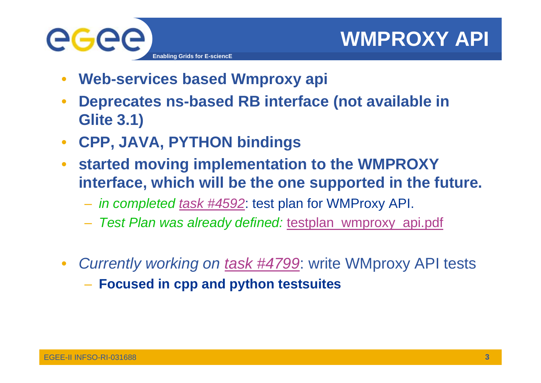

- $\bullet$ **Web-services based Wmproxy api**
- $\bullet$ **Deprecates** ns-based RB interface (not available in **Glite 3.1)**
- $\bullet$ **CPP, JAVA, PYTHON bindings**
- $\bullet$  **started moving implementation to the WMPROXY interface, which will be the one supported in the future.** 
	- *in completed task #4592*: test plan for WMProxy API.
	- *Test Plan was already defined:* testplan\_wmproxy\_api.pdf
- $\bullet$  *Currently working on task #4799*: write WMproxy API tests
	- **Focused in cpp and python testsuites**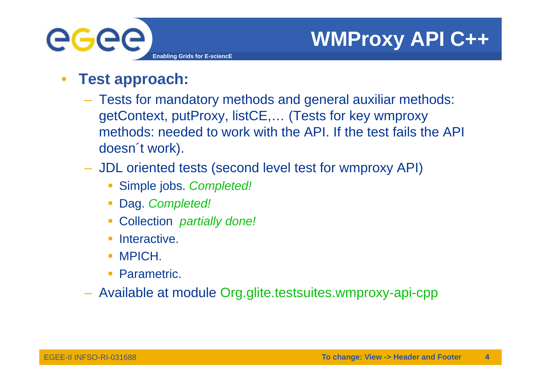

- $\bullet$  **Test approach:**
	- $-$  Tests for mandatory methods and general auxiliar methods: getContext, putProxy, listCE,… (Tests for key wmproxy methods: needed to work with the API. If the test fails the API doesn't work).
	- JDL oriented tests (second level test for wmproxy API)
		- Simple jobs. Completed!
		- Dag. *Completed!*
		- Collection *partially done!*
		- **Interactive.**
		- **MPICH.**
		- **Parametric.**
	- Available at module Org.glite.testsuites.wmproxy-api-cpp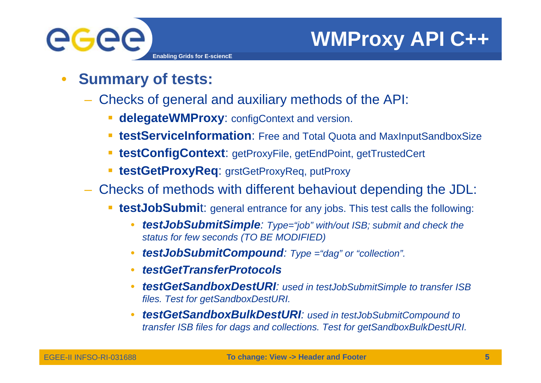

- $\bullet$  **Summary of tests:** 
	- Checks of general and auxiliary methods of the API:
		- **delegateWMProxy**: configContext and version.
		- **testServiceInformation**: Free and Total Quota and MaxInputSandboxSize
		- **testConfigContext**: getProxyFile, getEndPoint, getTrustedCert
		- **testGetProxyReq**: grstGetProxyReq, putProxy
	- Checks of methods with different behaviout depending the JDL:
		- П **testJobSubmi**t: general entrance for any jobs. This test calls the following:
			- • *testJobSubmitSimple: Type="job" with/out ISB; submit and check the st t f f d (TO BE MODIFIED) tatus for few seconds*
			- •*testJobSubmitCompound: Type ="dag" or "collection".*
			- •*testGetTransferProtocols*
			- • *testGetSandboxDestURI: used in testJobSubmitSimple to transfer ISB files. Test for getSandboxDestURI.*
			- • *testGetSandboxBulkDestURI: used in testJobSubmitCompound to transfer ISB files for dags and collections. Test for getSandboxBulkDestURI.*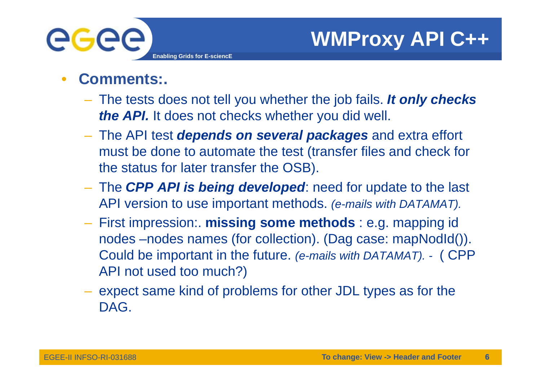

- • **Comments:.**
	- The tests does not tell you whether the job fails. *It only checks the API.* It does not checks whether you did well.
	- The API test *depends on several packages* and extra effort must be done to automate the test (transfer files and check for the status for later transfer the OSB).
	- The *CPP API is being developed being* : need for update to the last API version to use important methods. *(e-mails with DATAMAT).*
	- First impression:. **missing some methods** : e.g. mapping id nodes –nodes names (for collection). (Dag case: mapNodId()). Could be important in the future. *(e-mails with DATAMAT). -* ( CPP API not used too much?)
	- expect same kind of problems for other JDL types as for the DAG.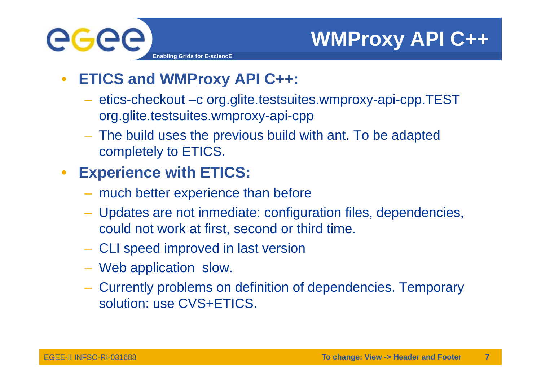

- $\bullet$  **ETICS and WMProxy API C++:**
	- $-$  etics-checkout –c org.glite.testsuites.wmproxy-api-cpp.TEST org.glite.testsuites.wmproxy-api-cpp
	- The build uses the previous build with ant. To be adapted completely to ETICS.

#### $\bullet$ **Experience with ETICS:**

- much better experience than before
- Updates are not inmediate: configuration files, dependencies, could not work at first, second or third time.
- CLI speed improved in last version
- Web application slow.
- Currently problems on definition of dependencies. Temporary solution: use CVS+ETICS.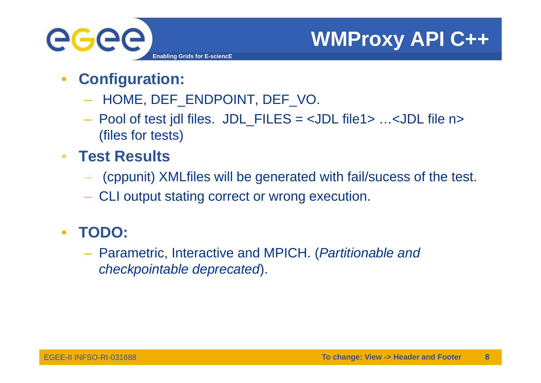

- $\bullet$  **Configuration:**
	- HOME, DEF\_ENDPOINT, DEF\_VO.
	- Pool of test jdl files. JDL\_FILES = <JDL file1> …<JDL file n> (files for tests)
- • **Test Results**
	- (cppunit) XMLfiles will be generated with fail/sucess of the test.
	- CLI output stating correct or wrong execution.
- $\bullet$  **TODO:**
	- Parametric, Interactive and MPICH. (*Partitionable and checkpointable deprecated*).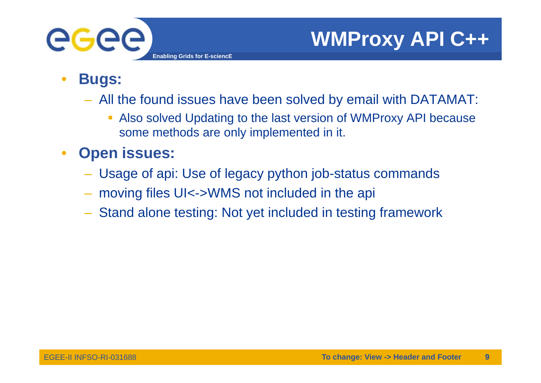

- $\bullet$  **Bugs:**
	- All the found issues have been solved by email with DATAMAT:
		- $\mathbb{R}^n$  Also solved Updating to the last version of WMProxy API because some methods are only implemented in it.
- $\bullet$ **Open issues:** 
	- Usage of api: Use of legacy python job-status commands
	- moving files UI<->WMS not included in the api
	- Stand alone testing: Not yet included in testing framework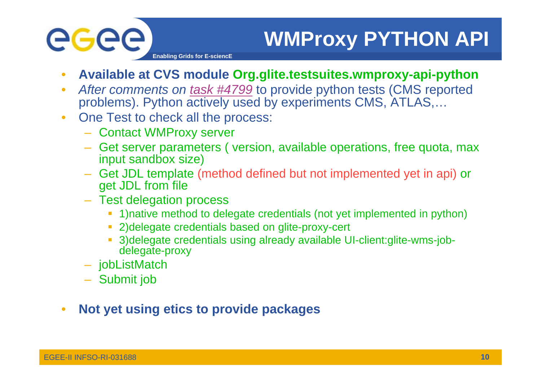

# **WMProxy PYTHON API**

**Enabling Grids for E-sciencE**

- •**Available at CVS module Org.glite.testsuites.wmproxy-api-python**
- • *After comments on task #4799* to provide python tests (CMS reported problems). Python actively used by experiments CMS, ATLAS,...
- $\bullet$  One Test to check all the process:
	- Contact WMProxy server
	- Get server parameters ( version, available operations, free quota, max input sandbox size)
	- Get JDL template (method defined but not implemented yet in api) or get JDL from file
	- Test delegation process
		- **-** 1)native method to delegate credentials (not yet implemented in python)
		- 2)delegate credentials based on glite-proxy-cert
		- 3)delegate credentials using already available UI-client:glite-wms-jobdelegate-proxy
	- jobListMatch
	- Submit job
- $\bullet$ **Not yet using etics to provide packages**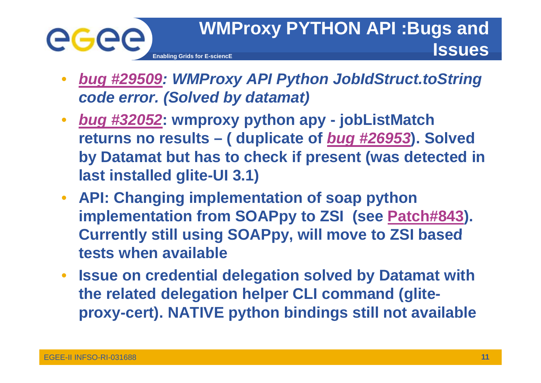

- • *bug #29509: WMProxy API Python JobIdStruct.toString*  **code error. (Solved by datamat)**
- • *bug #32052***: wmproxy python apy - jobListMatch returns no results – ( duplicate of** *bug #26953***). Solved by Datamat but has to check if present (was detected in last installed glite-UI 3.1)**
- **API: Changing implementation of soap python implementation from SOAPpy to ZSI (see Patch#843). Currently still using SOAPpy will move to ZSI based still SOAPpy, tests when available**
- $\bullet$  **Issue on credential delegation solved by Datamat with the related delegation helper CLI command (gliteproxy-cert). NATIVE python bindings still not available**